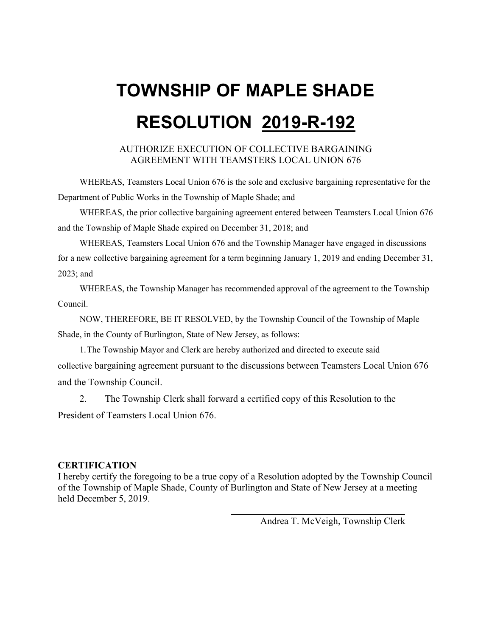#### AUTHORIZE EXECUTION OF COLLECTIVE BARGAINING AGREEMENT WITH TEAMSTERS LOCAL UNION 676

WHEREAS, Teamsters Local Union 676 is the sole and exclusive bargaining representative for the Department of Public Works in the Township of Maple Shade; and

WHEREAS, the prior collective bargaining agreement entered between Teamsters Local Union 676 and the Township of Maple Shade expired on December 31, 2018; and

WHEREAS, Teamsters Local Union 676 and the Township Manager have engaged in discussions for a new collective bargaining agreement for a term beginning January 1, 2019 and ending December 31, 2023; and

WHEREAS, the Township Manager has recommended approval of the agreement to the Township Council.

NOW, THEREFORE, BE IT RESOLVED, by the Township Council of the Township of Maple Shade, in the County of Burlington, State of New Jersey, as follows:

1.The Township Mayor and Clerk are hereby authorized and directed to execute said collective bargaining agreement pursuant to the discussions between Teamsters Local Union 676 and the Township Council.

2. The Township Clerk shall forward a certified copy of this Resolution to the President of Teamsters Local Union 676.

#### **CERTIFICATION**

I hereby certify the foregoing to be a true copy of a Resolution adopted by the Township Council of the Township of Maple Shade, County of Burlington and State of New Jersey at a meeting held December 5, 2019.

Andrea T. McVeigh, Township Clerk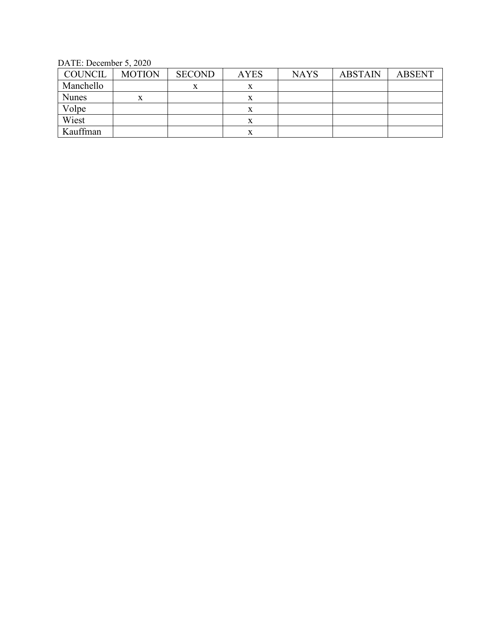DATE: December 5, 2020

| <b>COUNCIL</b> | <b>MOTION</b> | <b>SECOND</b> | <b>AYES</b> | <b>NAYS</b> | <b>ABSTAIN</b> | <b>ABSENT</b> |
|----------------|---------------|---------------|-------------|-------------|----------------|---------------|
| Manchello      |               | л             | x           |             |                |               |
| <b>Nunes</b>   | X             |               | x           |             |                |               |
| Volpe          |               |               | x           |             |                |               |
| Wiest          |               |               | x           |             |                |               |
| Kauffman       |               |               | x           |             |                |               |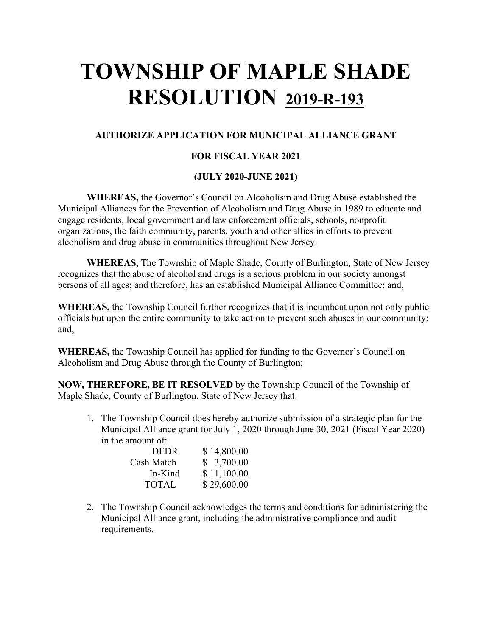#### **AUTHORIZE APPLICATION FOR MUNICIPAL ALLIANCE GRANT**

#### **FOR FISCAL YEAR 2021**

#### **(JULY 2020-JUNE 2021)**

**WHEREAS,** the Governor's Council on Alcoholism and Drug Abuse established the Municipal Alliances for the Prevention of Alcoholism and Drug Abuse in 1989 to educate and engage residents, local government and law enforcement officials, schools, nonprofit organizations, the faith community, parents, youth and other allies in efforts to prevent alcoholism and drug abuse in communities throughout New Jersey.

**WHEREAS,** The Township of Maple Shade, County of Burlington, State of New Jersey recognizes that the abuse of alcohol and drugs is a serious problem in our society amongst persons of all ages; and therefore, has an established Municipal Alliance Committee; and,

**WHEREAS,** the Township Council further recognizes that it is incumbent upon not only public officials but upon the entire community to take action to prevent such abuses in our community; and,

**WHEREAS,** the Township Council has applied for funding to the Governor's Council on Alcoholism and Drug Abuse through the County of Burlington;

**NOW, THEREFORE, BE IT RESOLVED** by the Township Council of the Township of Maple Shade, County of Burlington, State of New Jersey that:

1. The Township Council does hereby authorize submission of a strategic plan for the Municipal Alliance grant for July 1, 2020 through June 30, 2021 (Fiscal Year 2020) in the amount of:

| \$14,800.00 |
|-------------|
| \$3,700.00  |
| \$11,100.00 |
| \$29,600.00 |
|             |

2. The Township Council acknowledges the terms and conditions for administering the Municipal Alliance grant, including the administrative compliance and audit requirements.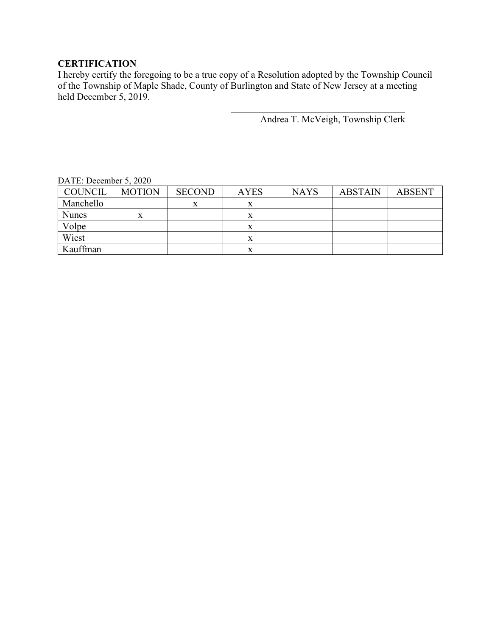#### **CERTIFICATION**

I hereby certify the foregoing to be a true copy of a Resolution adopted by the Township Council of the Township of Maple Shade, County of Burlington and State of New Jersey at a meeting held December 5, 2019.

Andrea T. McVeigh, Township Clerk

| $DATL$ . December 9, $2020$ |               |               |             |             |                |               |
|-----------------------------|---------------|---------------|-------------|-------------|----------------|---------------|
| COUNCIL                     | <b>MOTION</b> | <b>SECOND</b> | <b>AYES</b> | <b>NAYS</b> | <b>ABSTAIN</b> | <b>ABSENT</b> |
| Manchello                   |               | x             | x           |             |                |               |
| <b>Nunes</b>                | X             |               | x           |             |                |               |
| Volpe                       |               |               | x           |             |                |               |
| Wiest                       |               |               | x           |             |                |               |
| Kauffman                    |               |               | л           |             |                |               |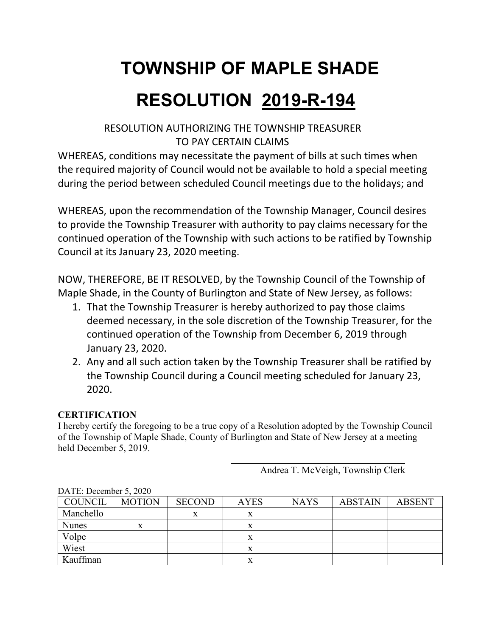## **TOWNSHIP OF MAPLE SHADE**

## **RESOLUTION 2019-R-194**

#### RESOLUTION AUTHORIZING THE TOWNSHIP TREASURER TO PAY CERTAIN CLAIMS

WHEREAS, conditions may necessitate the payment of bills at such times when the required majority of Council would not be available to hold a special meeting during the period between scheduled Council meetings due to the holidays; and

WHEREAS, upon the recommendation of the Township Manager, Council desires to provide the Township Treasurer with authority to pay claims necessary for the continued operation of the Township with such actions to be ratified by Township Council at its January 23, 2020 meeting.

NOW, THEREFORE, BE IT RESOLVED, by the Township Council of the Township of Maple Shade, in the County of Burlington and State of New Jersey, as follows:

- 1. That the Township Treasurer is hereby authorized to pay those claims deemed necessary, in the sole discretion of the Township Treasurer, for the continued operation of the Township from December 6, 2019 through January 23, 2020.
- 2. Any and all such action taken by the Township Treasurer shall be ratified by the Township Council during a Council meeting scheduled for January 23, 2020.

#### **CERTIFICATION**

I hereby certify the foregoing to be a true copy of a Resolution adopted by the Township Council of the Township of Maple Shade, County of Burlington and State of New Jersey at a meeting held December 5, 2019.

Andrea T. McVeigh, Township Clerk

| DATE. December $\sigma$ , $\Delta 0 \Delta 0$ |               |               |             |             |                |               |
|-----------------------------------------------|---------------|---------------|-------------|-------------|----------------|---------------|
| COUNCIL                                       | <b>MOTION</b> | <b>SECOND</b> | <b>AYES</b> | <b>NAYS</b> | <b>ABSTAIN</b> | <b>ABSENT</b> |
| Manchello                                     |               |               | x           |             |                |               |
| <b>Nunes</b>                                  | x             |               | x           |             |                |               |
| Volpe                                         |               |               | x           |             |                |               |
| Wiest                                         |               |               |             |             |                |               |
| Kauffman                                      |               |               |             |             |                |               |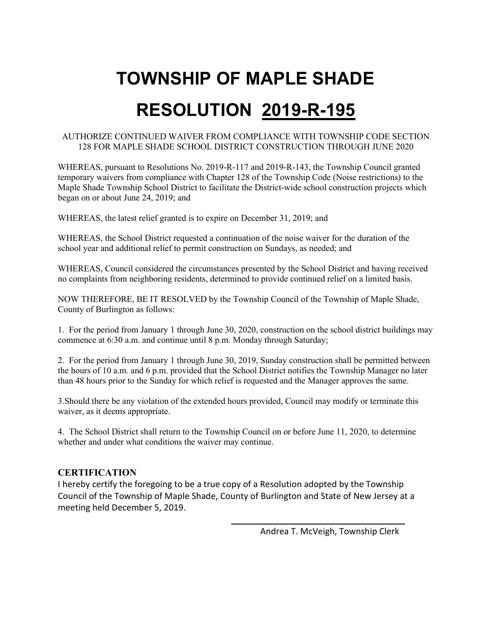### **TOWNSHIP OF MAPLE SHADE**

## **RESOLUTION 2019-R-195**

#### AUTHORIZE CONTINUED WAIVER FROM COMPLIANCE WITH TOWNSHIP CODE SECTION 128 FOR MAPLE SHADE SCHOOL DISTRICT CONSTRUCTION THROUGH JUNE 2020

WHEREAS, pursuant to Resolutions No. 2019-R-117 and 2019-R-143, the Township Council granted temporary waivers from compliance with Chapter 128 of the Township Code (Noise restrictions) to the Maple Shade Township School District to facilitate the District-wide school construction projects which began on or about June 24, 2019; and

WHEREAS, the latest relief granted is to expire on December 31, 2019; and

WHEREAS, the School District requested a continuation of the noise waiver for the duration of the school year and additional relief to permit construction on Sundays, as needed; and

WHEREAS, Council considered the circumstances presented by the School District and having received no complaints from neighboring residents, determined to provide continued relief on a limited basis.

NOW THEREFORE, BE IT RESOLVED by the Township Council of the Township of Maple Shade, County of Burlington as follows:

1. For the period from January 1 through June 30, 2020, construction on the school district buildings may commence at 6:30 a.m. and continue until 8 p.m. Monday through Saturday;

2. For the period from January 1 through June 30, 2019, Sunday construction shall be permitted between the hours of 10 a.m. and 6 p.m. provided that the School District notifies the Township Manager no later than 48 hours prior to the Sunday for which relief is requested and the Manager approves the same.

3.Should there be any violation of the extended hours provided, Council may modify or terminate this waiver, as it deems appropriate.

4. The School District shall return to the Township Council on or before June 11, 2020, to determine whether and under what conditions the waiver may continue.

#### **CERTIFICATION**

I hereby certify the foregoing to be a true copy of a Resolution adopted by the Township Council of the Township of Maple Shade, County of Burlington and State of New Jersey at a meeting held December 5, 2019.

Andrea T. McVeigh, Township Clerk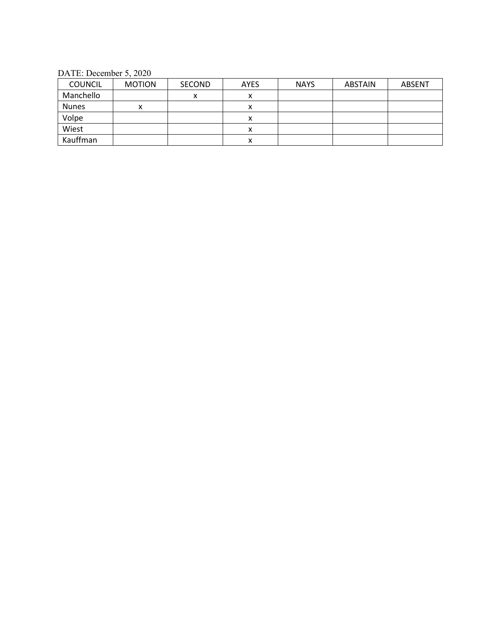DATE: December 5, 2020

| <b>COUNCIL</b> | <b>MOTION</b> | SECOND       | <b>AYES</b> | <b>NAYS</b> | <b>ABSTAIN</b> | <b>ABSENT</b> |
|----------------|---------------|--------------|-------------|-------------|----------------|---------------|
| Manchello      |               | $\checkmark$ |             |             |                |               |
| <b>Nunes</b>   | x             |              |             |             |                |               |
| Volpe          |               |              | x           |             |                |               |
| Wiest          |               |              | х           |             |                |               |
| Kauffman       |               |              | ́           |             |                |               |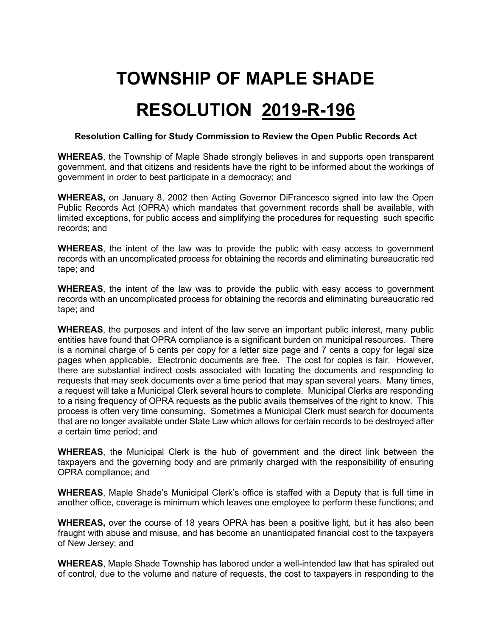### **TOWNSHIP OF MAPLE SHADE**

### **RESOLUTION 2019-R-196**

#### **Resolution Calling for Study Commission to Review the Open Public Records Act**

**WHEREAS**, the Township of Maple Shade strongly believes in and supports open transparent government, and that citizens and residents have the right to be informed about the workings of government in order to best participate in a democracy; and

**WHEREAS,** on January 8, 2002 then Acting Governor DiFrancesco signed into law the Open Public Records Act (OPRA) which mandates that government records shall be available, with limited exceptions, for public access and simplifying the procedures for requesting such specific records; and

**WHEREAS**, the intent of the law was to provide the public with easy access to government records with an uncomplicated process for obtaining the records and eliminating bureaucratic red tape; and

**WHEREAS**, the intent of the law was to provide the public with easy access to government records with an uncomplicated process for obtaining the records and eliminating bureaucratic red tape; and

**WHEREAS**, the purposes and intent of the law serve an important public interest, many public entities have found that OPRA compliance is a significant burden on municipal resources. There is a nominal charge of 5 cents per copy for a letter size page and 7 cents a copy for legal size pages when applicable. Electronic documents are free. The cost for copies is fair. However, there are substantial indirect costs associated with locating the documents and responding to requests that may seek documents over a time period that may span several years. Many times, a request will take a Municipal Clerk several hours to complete. Municipal Clerks are responding to a rising frequency of OPRA requests as the public avails themselves of the right to know. This process is often very time consuming. Sometimes a Municipal Clerk must search for documents that are no longer available under State Law which allows for certain records to be destroyed after a certain time period; and

**WHEREAS**, the Municipal Clerk is the hub of government and the direct link between the taxpayers and the governing body and are primarily charged with the responsibility of ensuring OPRA compliance; and

**WHEREAS**, Maple Shade's Municipal Clerk's office is staffed with a Deputy that is full time in another office, coverage is minimum which leaves one employee to perform these functions; and

**WHEREAS,** over the course of 18 years OPRA has been a positive light, but it has also been fraught with abuse and misuse, and has become an unanticipated financial cost to the taxpayers of New Jersey; and

**WHEREAS**, Maple Shade Township has labored under a well-intended law that has spiraled out of control, due to the volume and nature of requests, the cost to taxpayers in responding to the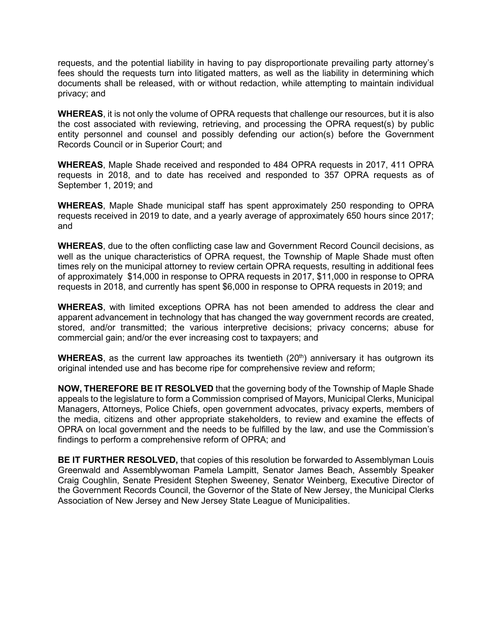requests, and the potential liability in having to pay disproportionate prevailing party attorney's fees should the requests turn into litigated matters, as well as the liability in determining which documents shall be released, with or without redaction, while attempting to maintain individual privacy; and

**WHEREAS**, it is not only the volume of OPRA requests that challenge our resources, but it is also the cost associated with reviewing, retrieving, and processing the OPRA request(s) by public entity personnel and counsel and possibly defending our action(s) before the Government Records Council or in Superior Court; and

**WHEREAS**, Maple Shade received and responded to 484 OPRA requests in 2017, 411 OPRA requests in 2018, and to date has received and responded to 357 OPRA requests as of September 1, 2019; and

**WHEREAS**, Maple Shade municipal staff has spent approximately 250 responding to OPRA requests received in 2019 to date, and a yearly average of approximately 650 hours since 2017; and

**WHEREAS**, due to the often conflicting case law and Government Record Council decisions, as well as the unique characteristics of OPRA request, the Township of Maple Shade must often times rely on the municipal attorney to review certain OPRA requests, resulting in additional fees of approximately \$14,000 in response to OPRA requests in 2017, \$11,000 in response to OPRA requests in 2018, and currently has spent \$6,000 in response to OPRA requests in 2019; and

**WHEREAS**, with limited exceptions OPRA has not been amended to address the clear and apparent advancement in technology that has changed the way government records are created, stored, and/or transmitted; the various interpretive decisions; privacy concerns; abuse for commercial gain; and/or the ever increasing cost to taxpayers; and

**WHEREAS**, as the current law approaches its twentieth (20<sup>th</sup>) anniversary it has outgrown its original intended use and has become ripe for comprehensive review and reform;

**NOW, THEREFORE BE IT RESOLVED** that the governing body of the Township of Maple Shade appeals to the legislature to form a Commission comprised of Mayors, Municipal Clerks, Municipal Managers, Attorneys, Police Chiefs, open government advocates, privacy experts, members of the media, citizens and other appropriate stakeholders, to review and examine the effects of OPRA on local government and the needs to be fulfilled by the law, and use the Commission's findings to perform a comprehensive reform of OPRA; and

**BE IT FURTHER RESOLVED,** that copies of this resolution be forwarded to Assemblyman Louis Greenwald and Assemblywoman Pamela Lampitt, Senator James Beach, Assembly Speaker Craig Coughlin, Senate President Stephen Sweeney, Senator Weinberg, Executive Director of the Government Records Council, the Governor of the State of New Jersey, the Municipal Clerks Association of New Jersey and New Jersey State League of Municipalities.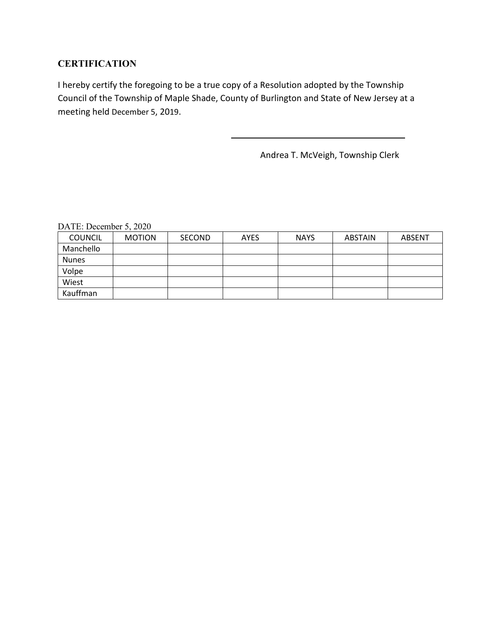#### **CERTIFICATION**

I hereby certify the foregoing to be a true copy of a Resolution adopted by the Township Council of the Township of Maple Shade, County of Burlington and State of New Jersey at a meeting held December 5, 2019.

Andrea T. McVeigh, Township Clerk

| <b>COUNCIL</b> | <b>MOTION</b> | <b>SECOND</b> | <b>AYES</b> | <b>NAYS</b> | <b>ABSTAIN</b> | ABSENT |
|----------------|---------------|---------------|-------------|-------------|----------------|--------|
| Manchello      |               |               |             |             |                |        |
| <b>Nunes</b>   |               |               |             |             |                |        |
| Volpe          |               |               |             |             |                |        |
| Wiest          |               |               |             |             |                |        |
| Kauffman       |               |               |             |             |                |        |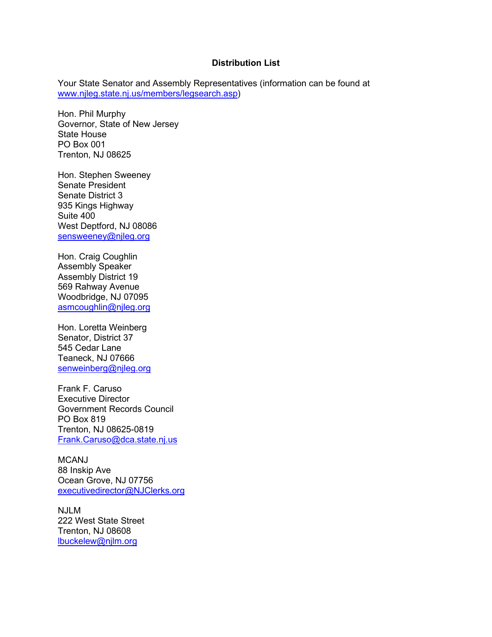#### **Distribution List**

Your State Senator and Assembly Representatives (information can be found at [www.njleg.state.nj.us/members/legsearch.asp\)](http://www.njleg.state.nj.us/members/legsearch.asp)

Hon. Phil Murphy Governor, State of New Jersey State House PO Box 001 Trenton, NJ 08625

Hon. Stephen Sweeney Senate President Senate District 3 935 Kings Highway Suite 400 West Deptford, NJ 08086 [sensweeney@njleg.org](mailto:sensweeney@njleg.org)

Hon. Craig Coughlin Assembly Speaker Assembly District 19 569 Rahway Avenue Woodbridge, NJ 07095 [asmcoughlin@njleg.org](mailto:asmcoughlin@njleg.org)

Hon. Loretta Weinberg Senator, District 37 545 Cedar Lane Teaneck, NJ 07666 [senweinberg@njleg.org](mailto:senweinberg@njleg.org)

Frank F. Caruso Executive Director Government Records Council PO Box 819 Trenton, NJ 08625-0819 [Frank.Caruso@dca.state.nj.us](mailto:Frank.Caruso@dca.state.nj.us)

MCANJ 88 Inskip Ave Ocean Grove, NJ 07756 [executivedirector@NJClerks.org](mailto:executivedirector@NJClerks.org)

NJLM 222 West State Street Trenton, NJ 08608 [lbuckelew@njlm.org](mailto:lbuckelew@njlm.org)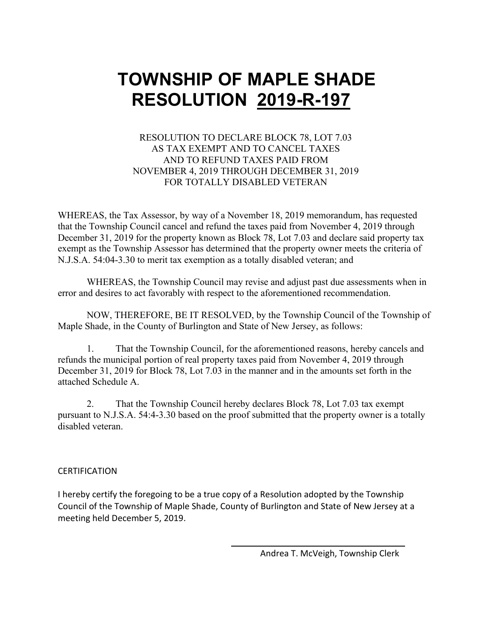#### RESOLUTION TO DECLARE BLOCK 78, LOT 7.03 AS TAX EXEMPT AND TO CANCEL TAXES AND TO REFUND TAXES PAID FROM NOVEMBER 4, 2019 THROUGH DECEMBER 31, 2019 FOR TOTALLY DISABLED VETERAN

WHEREAS, the Tax Assessor, by way of a November 18, 2019 memorandum, has requested that the Township Council cancel and refund the taxes paid from November 4, 2019 through December 31, 2019 for the property known as Block 78, Lot 7.03 and declare said property tax exempt as the Township Assessor has determined that the property owner meets the criteria of N.J.S.A. 54:04-3.30 to merit tax exemption as a totally disabled veteran; and

WHEREAS, the Township Council may revise and adjust past due assessments when in error and desires to act favorably with respect to the aforementioned recommendation.

NOW, THEREFORE, BE IT RESOLVED, by the Township Council of the Township of Maple Shade, in the County of Burlington and State of New Jersey, as follows:

1. That the Township Council, for the aforementioned reasons, hereby cancels and refunds the municipal portion of real property taxes paid from November 4, 2019 through December 31, 2019 for Block 78, Lot 7.03 in the manner and in the amounts set forth in the attached Schedule A.

2. That the Township Council hereby declares Block 78, Lot 7.03 tax exempt pursuant to N.J.S.A. 54:4-3.30 based on the proof submitted that the property owner is a totally disabled veteran.

#### **CERTIFICATION**

I hereby certify the foregoing to be a true copy of a Resolution adopted by the Township Council of the Township of Maple Shade, County of Burlington and State of New Jersey at a meeting held December 5, 2019.

Andrea T. McVeigh, Township Clerk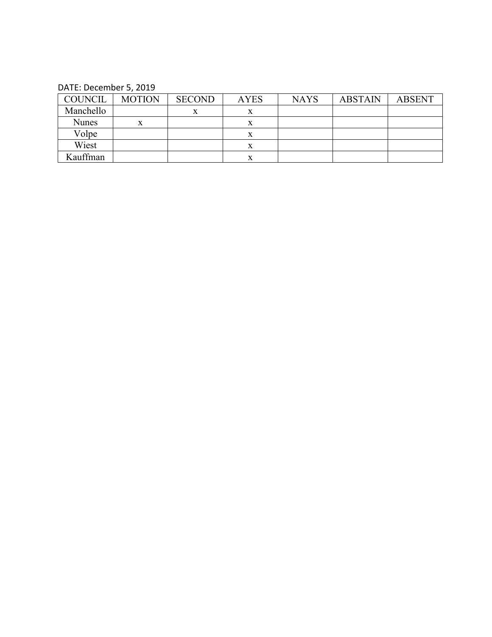| <b>COUNCIL</b> | <b>MOTION</b> | <b>SECOND</b> | <b>AYES</b> | <b>NAYS</b> | <b>ABSTAIN</b> | <b>ABSENT</b> |
|----------------|---------------|---------------|-------------|-------------|----------------|---------------|
| Manchello      |               | v             | x           |             |                |               |
| <b>Nunes</b>   | X             |               | x           |             |                |               |
| Volpe          |               |               | л           |             |                |               |
| Wiest          |               |               | x           |             |                |               |
| Kauffman       |               |               | x           |             |                |               |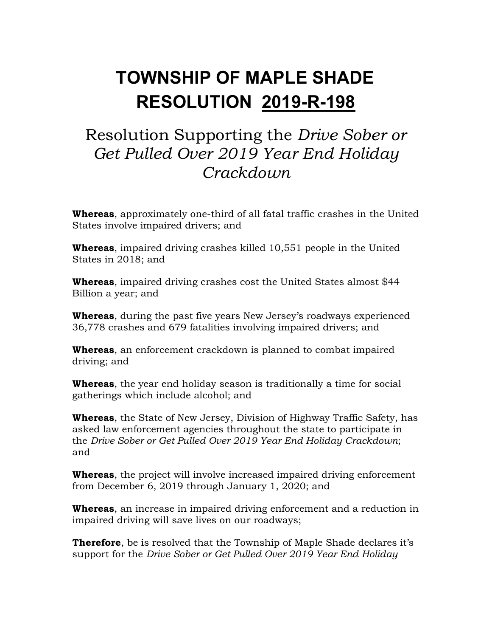### Resolution Supporting the *Drive Sober or Get Pulled Over 2019 Year End Holiday Crackdown*

**Whereas**, approximately one-third of all fatal traffic crashes in the United States involve impaired drivers; and

**Whereas**, impaired driving crashes killed 10,551 people in the United States in 2018; and

**Whereas**, impaired driving crashes cost the United States almost \$44 Billion a year; and

**Whereas**, during the past five years New Jersey's roadways experienced 36,778 crashes and 679 fatalities involving impaired drivers; and

**Whereas**, an enforcement crackdown is planned to combat impaired driving; and

**Whereas**, the year end holiday season is traditionally a time for social gatherings which include alcohol; and

**Whereas**, the State of New Jersey, Division of Highway Traffic Safety, has asked law enforcement agencies throughout the state to participate in the *Drive Sober or Get Pulled Over 2019 Year End Holiday Crackdown*; and

**Whereas**, the project will involve increased impaired driving enforcement from December 6, 2019 through January 1, 2020; and

**Whereas**, an increase in impaired driving enforcement and a reduction in impaired driving will save lives on our roadways;

**Therefore**, be is resolved that the Township of Maple Shade declares it's support for the *Drive Sober or Get Pulled Over 2019 Year End Holiday*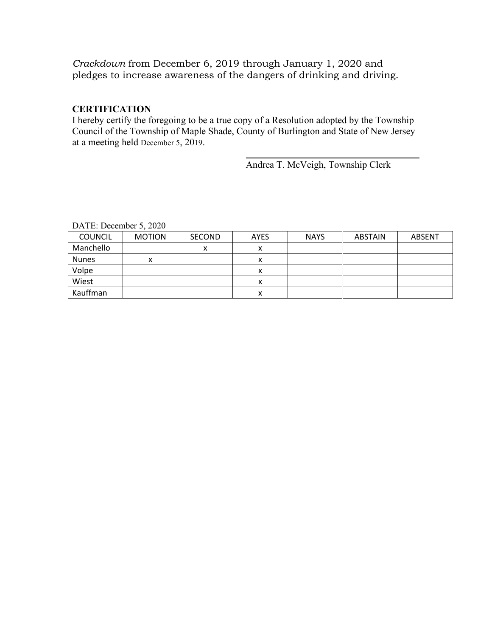*Crackdown* from December 6, 2019 through January 1, 2020 and pledges to increase awareness of the dangers of drinking and driving.

#### **CERTIFICATION**

I hereby certify the foregoing to be a true copy of a Resolution adopted by the Township Council of the Township of Maple Shade, County of Burlington and State of New Jersey at a meeting held December 5, 2019.

Andrea T. McVeigh, Township Clerk

| <b>COUNCIL</b> | <b>MOTION</b> | <b>SECOND</b>  | <b>AYES</b> | <b>NAYS</b> | ABSTAIN | <b>ABSENT</b> |
|----------------|---------------|----------------|-------------|-------------|---------|---------------|
| Manchello      |               | v<br>$\lambda$ |             |             |         |               |
| <b>Nunes</b>   | ́             |                |             |             |         |               |
| Volpe          |               |                |             |             |         |               |
| Wiest          |               |                |             |             |         |               |
| Kauffman       |               |                | ́           |             |         |               |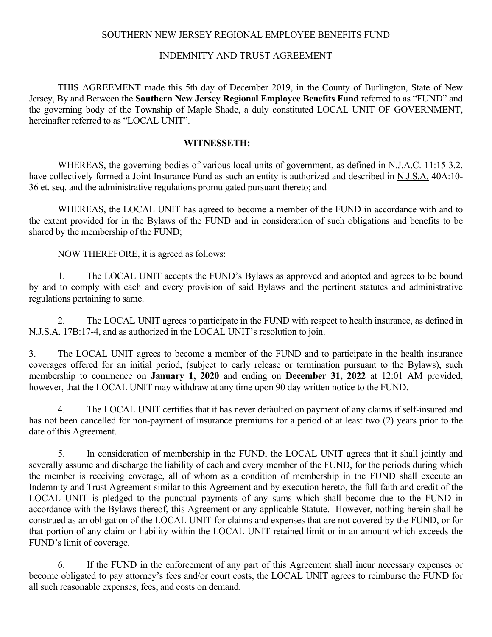#### SOUTHERN NEW JERSEY REGIONAL EMPLOYEE BENEFITS FUND

#### INDEMNITY AND TRUST AGREEMENT

THIS AGREEMENT made this 5th day of December 2019, in the County of Burlington, State of New Jersey, By and Between the **Southern New Jersey Regional Employee Benefits Fund** referred to as "FUND" and the governing body of the Township of Maple Shade, a duly constituted LOCAL UNIT OF GOVERNMENT, hereinafter referred to as "LOCAL UNIT".

#### **WITNESSETH:**

WHEREAS, the governing bodies of various local units of government, as defined in N.J.A.C. 11:15-3.2, have collectively formed a Joint Insurance Fund as such an entity is authorized and described in N.J.S.A. 40A:10- 36 et. seq. and the administrative regulations promulgated pursuant thereto; and

WHEREAS, the LOCAL UNIT has agreed to become a member of the FUND in accordance with and to the extent provided for in the Bylaws of the FUND and in consideration of such obligations and benefits to be shared by the membership of the FUND;

NOW THEREFORE, it is agreed as follows:

1. The LOCAL UNIT accepts the FUND's Bylaws as approved and adopted and agrees to be bound by and to comply with each and every provision of said Bylaws and the pertinent statutes and administrative regulations pertaining to same.

2. The LOCAL UNIT agrees to participate in the FUND with respect to health insurance, as defined in N.J.S.A. 17B:17-4, and as authorized in the LOCAL UNIT's resolution to join.

3. The LOCAL UNIT agrees to become a member of the FUND and to participate in the health insurance coverages offered for an initial period, (subject to early release or termination pursuant to the Bylaws), such membership to commence on **January 1, 2020** and ending on **December 31, 2022** at 12:01 AM provided, however, that the LOCAL UNIT may withdraw at any time upon 90 day written notice to the FUND.

4. The LOCAL UNIT certifies that it has never defaulted on payment of any claims if self-insured and has not been cancelled for non-payment of insurance premiums for a period of at least two (2) years prior to the date of this Agreement.

5. In consideration of membership in the FUND, the LOCAL UNIT agrees that it shall jointly and severally assume and discharge the liability of each and every member of the FUND, for the periods during which the member is receiving coverage, all of whom as a condition of membership in the FUND shall execute an Indemnity and Trust Agreement similar to this Agreement and by execution hereto, the full faith and credit of the LOCAL UNIT is pledged to the punctual payments of any sums which shall become due to the FUND in accordance with the Bylaws thereof, this Agreement or any applicable Statute. However, nothing herein shall be construed as an obligation of the LOCAL UNIT for claims and expenses that are not covered by the FUND, or for that portion of any claim or liability within the LOCAL UNIT retained limit or in an amount which exceeds the FUND's limit of coverage.

6. If the FUND in the enforcement of any part of this Agreement shall incur necessary expenses or become obligated to pay attorney's fees and/or court costs, the LOCAL UNIT agrees to reimburse the FUND for all such reasonable expenses, fees, and costs on demand.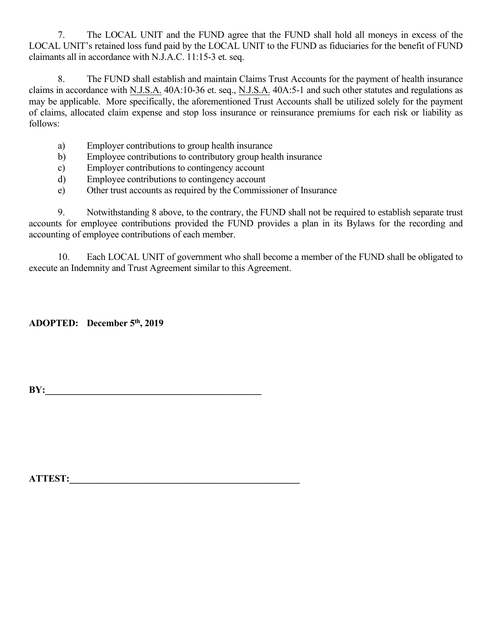7. The LOCAL UNIT and the FUND agree that the FUND shall hold all moneys in excess of the LOCAL UNIT's retained loss fund paid by the LOCAL UNIT to the FUND as fiduciaries for the benefit of FUND claimants all in accordance with N.J.A.C. 11:15-3 et. seq.

8. The FUND shall establish and maintain Claims Trust Accounts for the payment of health insurance claims in accordance with N.J.S.A. 40A:10-36 et. seq., N.J.S.A. 40A:5-1 and such other statutes and regulations as may be applicable. More specifically, the aforementioned Trust Accounts shall be utilized solely for the payment of claims, allocated claim expense and stop loss insurance or reinsurance premiums for each risk or liability as follows:

- a) Employer contributions to group health insurance
- b) Employee contributions to contributory group health insurance
- c) Employer contributions to contingency account
- d) Employee contributions to contingency account
- e) Other trust accounts as required by the Commissioner of Insurance

9. Notwithstanding 8 above, to the contrary, the FUND shall not be required to establish separate trust accounts for employee contributions provided the FUND provides a plan in its Bylaws for the recording and accounting of employee contributions of each member.

10. Each LOCAL UNIT of government who shall become a member of the FUND shall be obligated to execute an Indemnity and Trust Agreement similar to this Agreement.

**ADOPTED: December 5th, 2019**

**BY:\_\_\_\_\_\_\_\_\_\_\_\_\_\_\_\_\_\_\_\_\_\_\_\_\_\_\_\_\_\_\_\_\_\_\_\_\_\_\_\_\_\_\_\_\_\_**

**ATTEST:**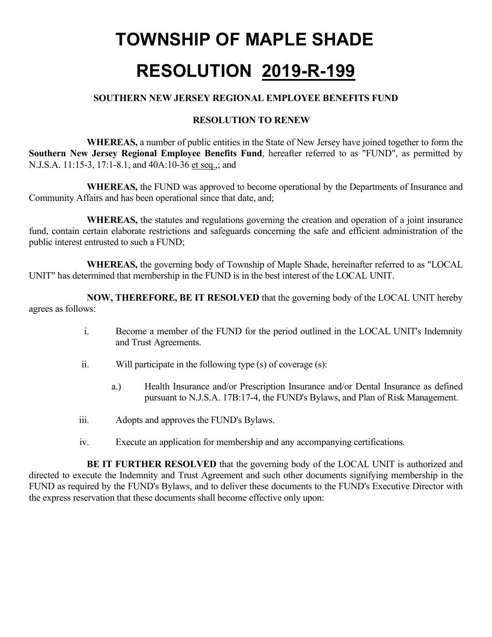#### **SOUTHERN NEW JERSEY REGIONAL EMPLOYEE BENEFITS FUND**

#### **RESOLUTION TO RENEW**

**WHEREAS,** a number of public entities in the State of New Jersey have joined together to form the **Southern New Jersey Regional Employee Benefits Fund**, hereafter referred to as "FUND", as permitted by N.J.S.A. 11:15-3, 17:1-8.1, and 40A:10-36 et seq.,; and

**WHEREAS,** the FUND was approved to become operational by the Departments of Insurance and Community Affairs and has been operational since that date, and;

**WHEREAS,** the statutes and regulations governing the creation and operation of a joint insurance fund, contain certain elaborate restrictions and safeguards concerning the safe and efficient administration of the public interest entrusted to such a FUND;

**WHEREAS,** the governing body of Township of Maple Shade, hereinafter referred to as "LOCAL UNIT" has determined that membership in the FUND is in the best interest of the LOCAL UNIT.

**NOW, THEREFORE, BE IT RESOLVED** that the governing body of the LOCAL UNIT hereby agrees as follows:

- i. Become a member of the FUND for the period outlined in the LOCAL UNIT's Indemnity and Trust Agreements.
- ii. Will participate in the following type (s) of coverage (s):
	- a.) Health Insurance and/or Prescription Insurance and/or Dental Insurance as defined pursuant to N.J.S.A. 17B:17-4, the FUND's Bylaws, and Plan of Risk Management.
- iii. Adopts and approves the FUND's Bylaws.
- iv. Execute an application for membership and any accompanying certifications.

**BE IT FURTHER RESOLVED** that the governing body of the LOCAL UNIT is authorized and directed to execute the Indemnity and Trust Agreement and such other documents signifying membership in the FUND as required by the FUND's Bylaws, and to deliver these documents to the FUND's Executive Director with the express reservation that these documents shall become effective only upon: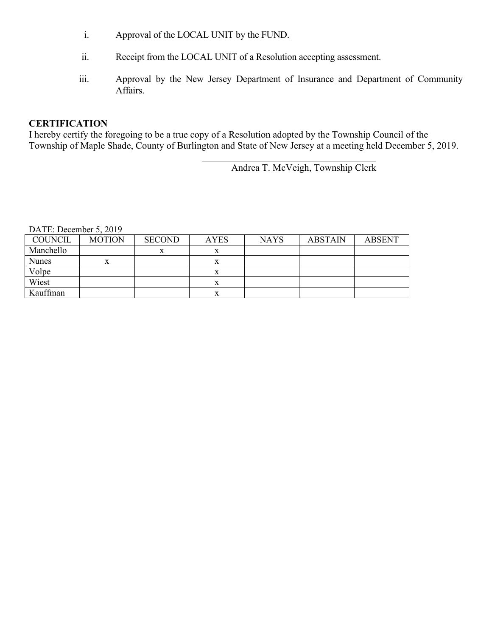- i. Approval of the LOCAL UNIT by the FUND.
- ii. Receipt from the LOCAL UNIT of a Resolution accepting assessment.
- iii. Approval by the New Jersey Department of Insurance and Department of Community Affairs.

#### **CERTIFICATION**

I hereby certify the foregoing to be a true copy of a Resolution adopted by the Township Council of the Township of Maple Shade, County of Burlington and State of New Jersey at a meeting held December 5, 2019.

Andrea T. McVeigh, Township Clerk

| <b>COUNCIL</b> | <b>MOTION</b> | <b>SECOND</b> | <b>AYES</b> | <b>NAYS</b> | <b>ABSTAIN</b> | <b>ABSENT</b> |
|----------------|---------------|---------------|-------------|-------------|----------------|---------------|
| Manchello      |               | x             |             |             |                |               |
| <b>Nunes</b>   |               |               |             |             |                |               |
| Volpe          |               |               |             |             |                |               |
| Wiest          |               |               |             |             |                |               |
| Kauffman       |               |               |             |             |                |               |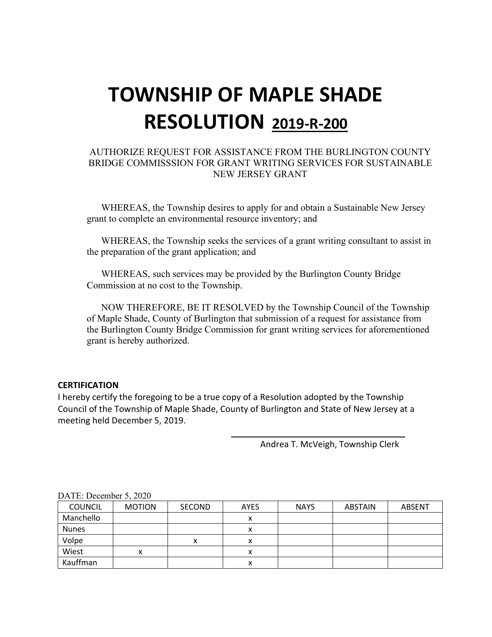#### AUTHORIZE REQUEST FOR ASSISTANCE FROM THE BURLINGTON COUNTY BRIDGE COMMISSSION FOR GRANT WRITING SERVICES FOR SUSTAINABLE NEW JERSEY GRANT

WHEREAS, the Township desires to apply for and obtain a Sustainable New Jersey grant to complete an environmental resource inventory; and

WHEREAS, the Township seeks the services of a grant writing consultant to assist in the preparation of the grant application; and

WHEREAS, such services may be provided by the Burlington County Bridge Commission at no cost to the Township.

NOW THEREFORE, BE IT RESOLVED by the Township Council of the Township of Maple Shade, County of Burlington that submission of a request for assistance from the Burlington County Bridge Commission for grant writing services for aforementioned grant is hereby authorized.

#### **CERTIFICATION**

I hereby certify the foregoing to be a true copy of a Resolution adopted by the Township Council of the Township of Maple Shade, County of Burlington and State of New Jersey at a meeting held December 5, 2019.

Andrea T. McVeigh, Township Clerk

| $P1$ , $P2$ , $P3$ , $P0$ |               |               |             |             |                |               |
|---------------------------|---------------|---------------|-------------|-------------|----------------|---------------|
| <b>COUNCIL</b>            | <b>MOTION</b> | <b>SECOND</b> | <b>AYES</b> | <b>NAYS</b> | <b>ABSTAIN</b> | <b>ABSENT</b> |
| Manchello                 |               |               | Λ           |             |                |               |
| <b>Nunes</b>              |               |               | Λ           |             |                |               |
| Volpe                     |               | х             |             |             |                |               |
| Wiest                     | ́             |               | ́           |             |                |               |
| Kauffman                  |               |               |             |             |                |               |